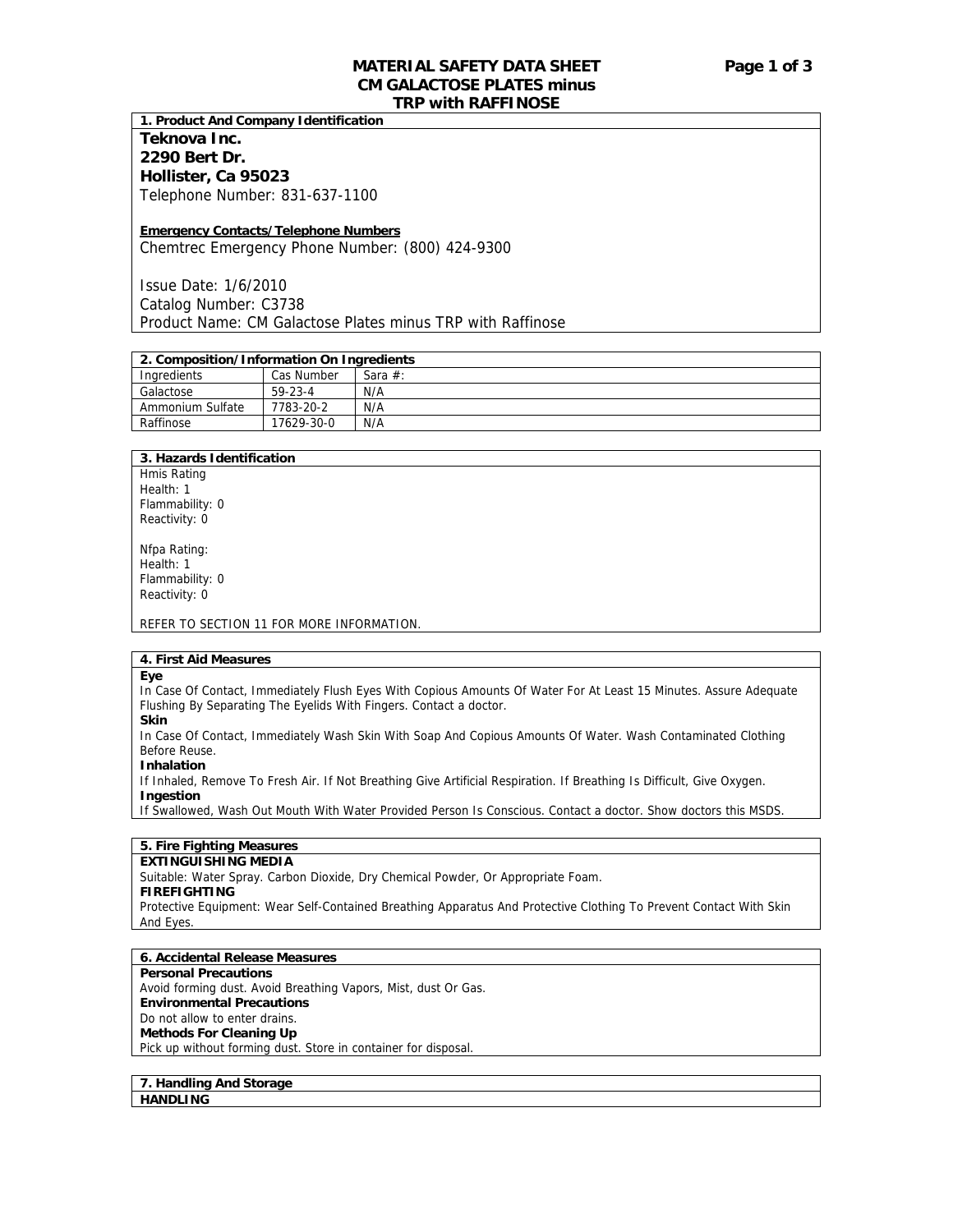# **MATERIAL SAFETY DATA SHEET Page 1 of 3 CM GALACTOSE PLATES minus TRP with RAFFINOSE**

**1. Product And Company Identification** 

# **Teknova Inc. 2290 Bert Dr. Hollister, Ca 95023**  Telephone Number: 831-637-1100

### **Emergency Contacts/Telephone Numbers**

Chemtrec Emergency Phone Number: (800) 424-9300

Issue Date: 1/6/2010 Catalog Number: C3738 Product Name: CM Galactose Plates minus TRP with Raffinose

# **2. Composition/Information On Ingredients**

| Ingredients      | Cas Number    | Sara $#$ : |
|------------------|---------------|------------|
| Galactose        | $59 - 23 - 4$ | N/A        |
| Ammonium Sulfate | 7783-20-2     | N/A        |
| Raffinose        | 17629-30-0    | N/A        |

# **3. Hazards Identification**

Hmis Rating Health: 1 Flammability: 0 Reactivity: 0

Nfpa Rating: Health: 1 Flammability: 0 Reactivity: 0

REFER TO SECTION 11 FOR MORE INFORMATION.

# **4. First Aid Measures**

**Eye** 

In Case Of Contact, Immediately Flush Eyes With Copious Amounts Of Water For At Least 15 Minutes. Assure Adequate Flushing By Separating The Eyelids With Fingers. Contact a doctor.

**Skin** 

In Case Of Contact, Immediately Wash Skin With Soap And Copious Amounts Of Water. Wash Contaminated Clothing Before Reuse.

**Inhalation** 

If Inhaled, Remove To Fresh Air. If Not Breathing Give Artificial Respiration. If Breathing Is Difficult, Give Oxygen. **Ingestion** 

If Swallowed, Wash Out Mouth With Water Provided Person Is Conscious. Contact a doctor. Show doctors this MSDS.

# **5. Fire Fighting Measures**

#### **EXTINGUISHING MEDIA**

Suitable: Water Spray. Carbon Dioxide, Dry Chemical Powder, Or Appropriate Foam.

#### **FIREFIGHTING**

Protective Equipment: Wear Self-Contained Breathing Apparatus And Protective Clothing To Prevent Contact With Skin And Eyes.

#### **6. Accidental Release Measures**

**Personal Precautions**  Avoid forming dust. Avoid Breathing Vapors, Mist, dust Or Gas. **Environmental Precautions**  Do not allow to enter drains. **Methods For Cleaning Up**  Pick up without forming dust. Store in container for disposal.

**7. Handling And Storage HANDLING**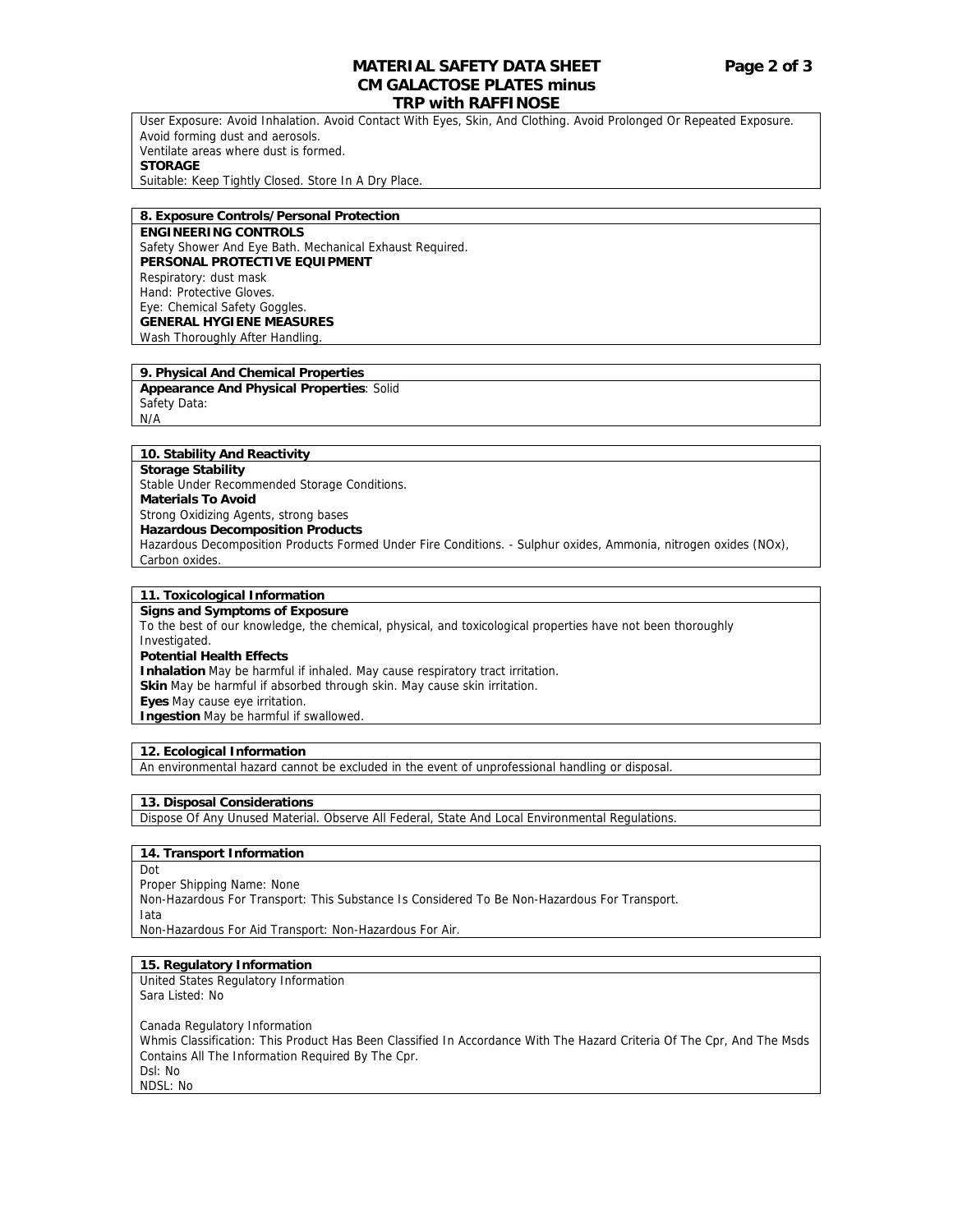# **MATERIAL SAFETY DATA SHEET Page 2 of 3 CM GALACTOSE PLATES minus**

# **TRP with RAFFINOSE**

User Exposure: Avoid Inhalation. Avoid Contact With Eyes, Skin, And Clothing. Avoid Prolonged Or Repeated Exposure. Avoid forming dust and aerosols. Ventilate areas where dust is formed. **STORAGE**  Suitable: Keep Tightly Closed. Store In A Dry Place.

#### **8. Exposure Controls/Personal Protection**

**ENGINEERING CONTROLS**  Safety Shower And Eye Bath. Mechanical Exhaust Required. **PERSONAL PROTECTIVE EQUIPMENT**  Respiratory: dust mask Hand: Protective Gloves. Eye: Chemical Safety Goggles. **GENERAL HYGIENE MEASURES** Wash Thoroughly After Handling.

#### **9. Physical And Chemical Properties**

**Appearance And Physical Properties**: Solid Safety Data: N/A

#### **10. Stability And Reactivity**

**Storage Stability**  Stable Under Recommended Storage Conditions. **Materials To Avoid**  Strong Oxidizing Agents, strong bases **Hazardous Decomposition Products**  Hazardous Decomposition Products Formed Under Fire Conditions. - Sulphur oxides, Ammonia, nitrogen oxides (NOx), Carbon oxides.

### **11. Toxicological Information**

**Signs and Symptoms of Exposure**  To the best of our knowledge, the chemical, physical, and toxicological properties have not been thoroughly Investigated. **Potential Health Effects Inhalation** May be harmful if inhaled. May cause respiratory tract irritation. **Skin** May be harmful if absorbed through skin. May cause skin irritation. **Eyes** May cause eye irritation. **Ingestion** May be harmful if swallowed.

# **12. Ecological Information**

An environmental hazard cannot be excluded in the event of unprofessional handling or disposal.

#### **13. Disposal Considerations**

Dispose Of Any Unused Material. Observe All Federal, State And Local Environmental Regulations.

#### **14. Transport Information**

Dot

Proper Shipping Name: None Non-Hazardous For Transport: This Substance Is Considered To Be Non-Hazardous For Transport. Iata Non-Hazardous For Aid Transport: Non-Hazardous For Air.

#### **15. Regulatory Information**

United States Regulatory Information Sara Listed: No

Canada Regulatory Information Whmis Classification: This Product Has Been Classified In Accordance With The Hazard Criteria Of The Cpr, And The Msds Contains All The Information Required By The Cpr. Dsl: No NDSL: No